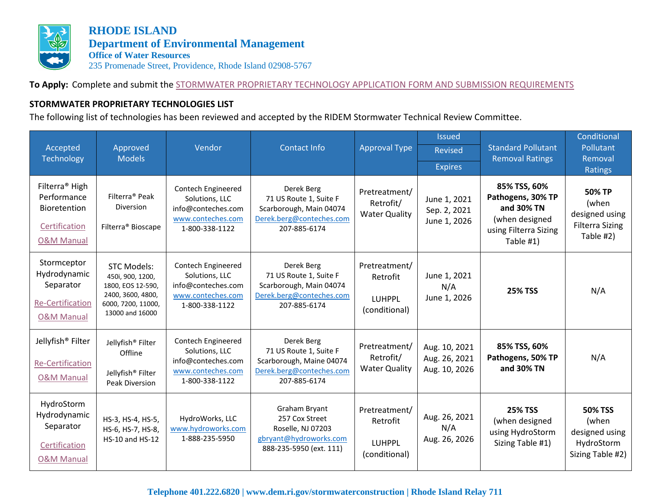

**RHODE ISLAND Department of Environmental Management Office of Water Resources** 235 Promenade Street, Providence, Rhode Island 02908-5767

**To Apply:** Complete and submit the [STORMWATER PROPRIETARY TECHNOLOGY APPLICATION FORM AND SUBMISSION REQUIREMENTS](http://www.dem.ri.gov/programs/benviron/water/permits/swcoord/pdf/swtekapp.pdf)

## **STORMWATER PROPRIETARY TECHNOLOGIES LIST**

The following list of technologies has been reviewed and accepted by the RIDEM Stormwater Technical Review Committee.

| Accepted<br><b>Technology</b>                                                                       | Approved<br><b>Models</b>                                                                                                 | Vendor                                                                                            | Contact Info                                                                                                 | <b>Approval Type</b>                                 | <b>Issued</b><br>Revised<br><b>Expires</b>      | <b>Standard Pollutant</b><br><b>Removal Ratings</b>                                                     | Conditional<br>Pollutant<br>Removal<br>Ratings                                  |
|-----------------------------------------------------------------------------------------------------|---------------------------------------------------------------------------------------------------------------------------|---------------------------------------------------------------------------------------------------|--------------------------------------------------------------------------------------------------------------|------------------------------------------------------|-------------------------------------------------|---------------------------------------------------------------------------------------------------------|---------------------------------------------------------------------------------|
| Filterra <sup>®</sup> High<br>Performance<br>Bioretention<br>Certification<br><b>O&amp;M Manual</b> | Filterra <sup>®</sup> Peak<br><b>Diversion</b><br>Filterra <sup>®</sup> Bioscape                                          | Contech Engineered<br>Solutions, LLC<br>info@conteches.com<br>www.conteches.com<br>1-800-338-1122 | Derek Berg<br>71 US Route 1, Suite F<br>Scarborough, Main 04074<br>Derek.berg@conteches.com<br>207-885-6174  | Pretreatment/<br>Retrofit/<br><b>Water Quality</b>   | June 1, 2021<br>Sep. 2, 2021<br>June 1, 2026    | 85% TSS, 60%<br>Pathogens, 30% TP<br>and 30% TN<br>(when designed<br>using Filterra Sizing<br>Table #1) | <b>50% TP</b><br>(when<br>designed using<br><b>Filterra Sizing</b><br>Table #2) |
| Stormceptor<br>Hydrodynamic<br>Separator<br><b>Re-Certification</b><br><b>O&amp;M Manual</b>        | <b>STC Models:</b><br>450i, 900, 1200,<br>1800, EOS 12-590,<br>2400, 3600, 4800,<br>6000, 7200, 11000,<br>13000 and 16000 | Contech Engineered<br>Solutions, LLC<br>info@conteches.com<br>www.conteches.com<br>1-800-338-1122 | Derek Berg<br>71 US Route 1, Suite F<br>Scarborough, Main 04074<br>Derek.berg@conteches.com<br>207-885-6174  | Pretreatment/<br>Retrofit<br>LUHPPL<br>(conditional) | June 1, 2021<br>N/A<br>June 1, 2026             | <b>25% TSS</b>                                                                                          | N/A                                                                             |
| Jellyfish <sup>®</sup> Filter<br><b>Re-Certification</b><br><b>O&amp;M Manual</b>                   | Jellyfish <sup>®</sup> Filter<br>Offline<br>Jellyfish® Filter<br>Peak Diversion                                           | Contech Engineered<br>Solutions, LLC<br>info@conteches.com<br>www.conteches.com<br>1-800-338-1122 | Derek Berg<br>71 US Route 1, Suite F<br>Scarborough, Maine 04074<br>Derek.berg@conteches.com<br>207-885-6174 | Pretreatment/<br>Retrofit/<br><b>Water Quality</b>   | Aug. 10, 2021<br>Aug. 26, 2021<br>Aug. 10, 2026 | 85% TSS, 60%<br>Pathogens, 50% TP<br>and 30% TN                                                         | N/A                                                                             |
| HydroStorm<br>Hydrodynamic<br>Separator<br>Certification<br><b>O&amp;M Manual</b>                   | HS-3, HS-4, HS-5,<br>HS-6, HS-7, HS-8,<br>HS-10 and HS-12                                                                 | HydroWorks, LLC<br>www.hydroworks.com<br>1-888-235-5950                                           | Graham Bryant<br>257 Cox Street<br>Roselle, NJ 07203<br>gbryant@hydroworks.com<br>888-235-5950 (ext. 111)    | Pretreatment/<br>Retrofit<br>LUHPPL<br>(conditional) | Aug. 26, 2021<br>N/A<br>Aug. 26, 2026           | <b>25% TSS</b><br>(when designed<br>using HydroStorm<br>Sizing Table #1)                                | <b>50% TSS</b><br>(when<br>designed using<br>HydroStorm<br>Sizing Table #2)     |